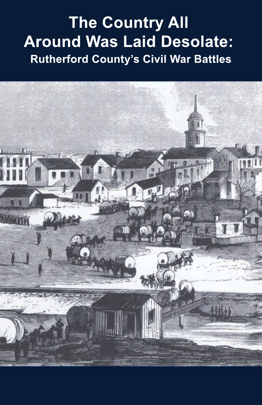# **The Country All Around Was Laid Desolate: Rutherford County's Civil War Battles**

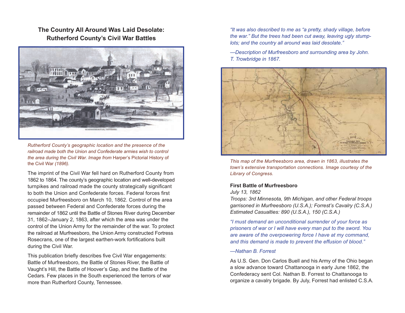**The Country All Around Was Laid Desolate: Rutherford County's Civil War Battles**



*Rutherford County's geographic location and the presence of the railroad made both the Union and Confederate armies wish to control the area during the Civil War. Image from* Harper's Pictorial History of the Civil War *(1896).*

The imprint of the Civil War fell hard on Rutherford County from 1862 to 1864. The county's geographic location and well-developed turnpikes and railroad made the county strategically significant to both the Union and Confederate forces. Federal forces first occupied Murfreesboro on March 10, 1862. Control of the area passed between Federal and Confederate forces during the remainder of 1862 until the Battle of Stones River during December 31, 1862–January 2, 1863, after which the area was under the control of the Union Army for the remainder of the war. To protect the railroad at Murfreesboro, the Union Army constructed Fortress Rosecrans, one of the largest earthen-work fortifications built during the Civil War.

This publication briefly describes five Civil War engagements: Battle of Murfreesboro, the Battle of Stones River, the Battle of Vaught's Hill, the Battle of Hoover's Gap, and the Battle of the Cedars. Few places in the South experienced the terrors of war more than Rutherford County, Tennessee.

*"It was also described to me as "a pretty, shady village, before the war." But the trees had been cut away, leaving ugly stumplots; and the country all around was laid desolate."* 

*—Description of Murfreesboro and surrounding area by John. T. Trowbridge in 1867.*



*This map of the Murfreesboro area, drawn in 1863, illustrates the town's extensive transportation connections. Image courtesy of the Library of Congress.* 

## **First Battle of Murfreesboro**

*July 13, 1862*

*Troops: 3rd Minnesota, 9th Michigan, and other Federal troops garrisoned in Murfreesboro (U.S.A.); Forrest's Cavalry (C.S.A.) Estimated Casualties: 890 (U.S.A.), 150 (C.S.A.)*

*"I must demand an unconditional surrender of your force as prisoners of war or I will have every man put to the sword. You are aware of the overpowering force I have at my command, and this demand is made to prevent the effusion of blood."*

*—Nathan B. Forrest*

As U.S. Gen. Don Carlos Buell and his Army of the Ohio began a slow advance toward Chattanooga in early June 1862, the Confederacy sent Col. Nathan B. Forrest to Chattanooga to organize a cavalry brigade. By July, Forrest had enlisted C.S.A.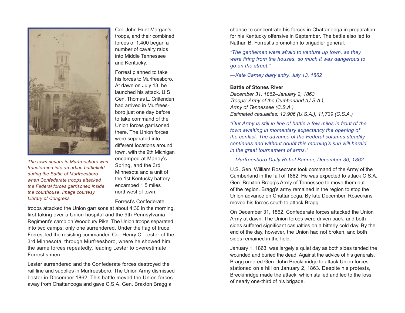

*The town square in Murfreesboro was transformed into an urban battlefield during the Battle of Murfreesboro when Confederate troops attacked the Federal forces garrisoned inside the courthouse. Image courtesy Library of Congress.*

Col. John Hunt Morgan's troops, and their combined forces of 1,400 began a number of cavalry raids into Middle Tennessee and Kentucky.

Forrest planned to take his forces to Murfreesboro. At dawn on July 13, he launched his attack. U.S. Gen. Thomas L. Crittenden had arrived in Murfreesboro just one day before to take command of the Union forces garrisoned there. The Union forces were separated into different locations around town, with the 9th Michigan encamped at Maney's Spring, and the 3rd Minnesota and a unit of the 1st Kentucky battery encamped 1.5 miles northwest of town.

Forrest's Confederate

troops attacked the Union garrisons at about 4:30 in the morning, first taking over a Union hospital and the 9th Pennsylvania Regiment's camp on Woodbury Pike. The Union troops separated into two camps; only one surrendered. Under the flag of truce, Forrest led the resisting commander, Col. Henry C. Lester of the 3rd Minnesota, through Murfreesboro, where he showed him the same forces repeatedly, leading Lester to overestimate Forrest's men.

Lester surrendered and the Confederate forces destroyed the rail line and supplies in Murfreesboro. The Union Army dismissed Lester in December 1862. This battle moved the Union forces away from Chattanooga and gave C.S.A. Gen. Braxton Bragg a

chance to concentrate his forces in Chattanooga in preparation for his Kentucky offensive in September. The battle also led to Nathan B. Forrest's promotion to brigadier general.

*"The gentlemen were afraid to venture up town, as they were firing from the houses, so much it was dangerous to go on the street."*

*—Kate Carney diary entry, July 13, 1862*

## **Battle of Stones River**

*December 31, 1862–January 2, 1863 Troops: Army of the Cumberland (U.S.A.), Army of Tennessee (C.S.A.) Estimated casualties: 12,906 (U.S.A.), 11,739 (C.S.A.)*

*"Our Army is still in line of battle a few miles in front of the town awaiting in momentary expectancy the opening of the conflict. The advance of the Federal columns steadily continues and without doubt this morning's sun will herald in the great tournament of arms."*

*—Murfreesboro Daily Rebel Banner, December 30, 1862*

U.S. Gen. William Rosecrans took command of the Army of the Cumberland in the fall of 1862. He was expected to attack C.S.A. Gen. Braxton Bragg's Army of Tennessee to move them out of the region. Bragg's army remained in the region to stop the Union advance on Chattanooga. By late December, Rosecrans moved his forces south to attack Bragg.

On December 31, 1862, Confederate forces attacked the Union Army at dawn. The Union forces were driven back, and both sides suffered significant casualties on a bitterly cold day. By the end of the day, however, the Union had not broken, and both sides remained in the field.

January 1, 1863, was largely a quiet day as both sides tended the wounded and buried the dead. Against the advice of his generals, Bragg ordered Gen. John Breckinridge to attack Union forces stationed on a hill on January 2, 1863. Despite his protests, Breckinridge made the attack, which stalled and led to the loss of nearly one-third of his brigade.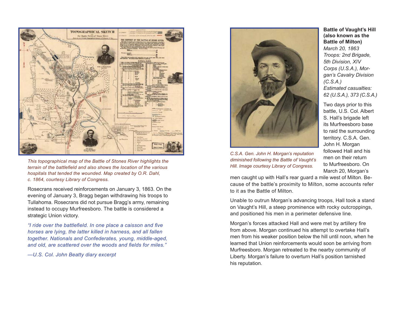

*This topographical map of the Battle of Stones River highlights the terrain of the battlefield and also shows the location of the various hospitals that tended the wounded. Map created by O.R. Dahl, c. 1864, courtesy Library of Congress.* 

Rosecrans received reinforcements on January 3, 1863. On the evening of January 3, Bragg began withdrawing his troops to Tullahoma. Rosecrans did not pursue Bragg's army, remaining instead to occupy Murfreesboro. The battle is considered a strategic Union victory.

*"I ride over the battlefield. In one place a caisson and five horses are lying, the latter killed in harness, and all fallen together. Nationals and Confederates, young, middle-aged, and old, are scattered over the woods and fields for miles."* 

*—U.S. Col. John Beatty diary excerpt*



*C.S.A. Gen. John H. Morgan's reputation diminished following the Battle of Vaught's Hill. Image courtesy Library of Congress.*

**Battle of Vaught's Hill (also known as the Battle of Milton)** *March 20, 1863*

*Troops: 2nd Brigade, 5th Division, XIV Corps (U.S.A.), Morgan's Cavalry Division (C.S.A.) Estimated casualties: 62 (U.S.A.), 373 (C.S.A.)*

Two days prior to this battle, U.S. Col. Albert S. Hall's brigade left its Murfreesboro base to raid the surrounding territory. C.S.A. Gen. John H. Morgan followed Hall and his men on their return to Murfreesboro. On March 20, Morgan's

men caught up with Hall's rear guard a mile west of Milton. Because of the battle's proximity to Milton, some accounts refer to it as the Battle of Milton.

Unable to outrun Morgan's advancing troops, Hall took a stand on Vaught's Hill, a steep prominence with rocky outcroppings, and positioned his men in a perimeter defensive line.

Morgan's forces attacked Hall and were met by artillery fire from above. Morgan continued his attempt to overtake Hall's men from his weaker position below the hill until noon, when he learned that Union reinforcements would soon be arriving from Murfreesboro. Morgan retreated to the nearby community of Liberty. Morgan's failure to overturn Hall's position tarnished his reputation.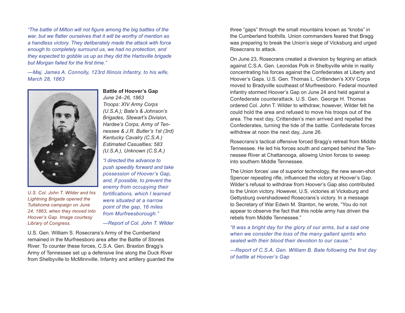*"The battle of Milton will not figure among the big battles of the war, but we flatter ourselves that it will be worthy of mention as a handless victory. They deliberately made the attack with force enough to completely surround us, we had no protection, and they expected to gobble us up as they did the Hartsville brigade but Morgan failed for the first time."*

*—Maj. James A. Connolly, 123rd Illinois Infantry, to his wife, March 28, 1863*



*U.S. Col. John T. Wilder and his Lightning Brigade opened the Tullahoma campaign on June 24, 1863, when they moved into Hoover's Gap. Image courtesy Library of Congress.*

**Battle of Hoover's Gap** *June 24–26, 1863*

*Troops: XIV Army Corps (U.S.A.); Bate's & Johnson's Brigades, Stewart's Division, Hardee's Corps, Army of Tennessee & J.R. Butler's 1st (3rd) Kentucky Cavalry (C.S.A.) Estimated Casualties: 583 (U.S.A.), Unknown (C.S.A.)*

*"I directed the advance to push speedily forward and take possession of Hoover's Gap, and, if possible, to prevent the enemy from occupying their fortifications, which I learned were situated at a narrow point of the gap, 16 miles from Murfreesborough."*

*—Report of Col. John T. Wilder*

U.S. Gen. William S. Rosecrans's Army of the Cumberland remained in the Murfreesboro area after the Battle of Stones River. To counter these forces, C.S.A. Gen. Braxton Bragg's Army of Tennessee set up a defensive line along the Duck River from Shelbyville to McMinnville. Infantry and artillery guarded the three "gaps" through the small mountains known as "knobs" in the Cumberland foothills. Union commanders feared that Bragg was preparing to break the Union's siege of Vicksburg and urged Rosecrans to attack.

On June 23, Rosecrans created a diversion by feigning an attack against C.S.A. Gen. Leonidas Polk in Shelbyville while in reality concentrating his forces against the Confederates at Liberty and Hoover's Gaps. U.S. Gen. Thomas L. Crittenden's XXV Corps moved to Bradyville southeast of Murfreesboro. Federal mounted infantry stormed Hoover's Gap on June 24 and held against a Confederate counterattack. U.S. Gen. George H. Thomas ordered Col. John T. Wilder to withdraw; however, Wilder felt he could hold the area and refused to move his troops out of the area. The next day, Crittenden's men arrived and repelled the Confederates, turning the tide of the battle. Confederate forces withdrew at noon the next day, June 26.

Rosecrans's tactical offensive forced Bragg's retreat from Middle Tennessee. He led his forces south and camped behind the Tennessee River at Chattanooga, allowing Union forces to sweep into southern Middle Tennessee.

The Union forces' use of superior technology, the new seven-shot Spencer repeating rifle, influenced the victory at Hoover's Gap. Wilder's refusal to withdraw from Hoover's Gap also contributed to the Union victory. However, U.S. victories at Vicksburg and Gettysburg overshadowed Rosecrans's victory. In a message to Secretary of War Edwin M. Stanton, he wrote, "You do not appear to observe the fact that this noble army has driven the rebels from Middle Tennessee."

*"It was a bright day for the glory of our arms, but a sad one when we consider the loss of the many gallant spirits who sealed with their blood their devotion to our cause."*

*—Report of C.S.A. Gen. William B. Bate following the first day of battle at Hoover's Gap*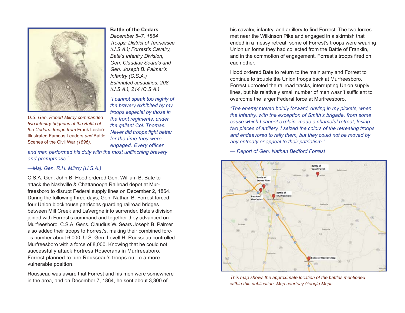

*U.S. Gen. Robert Milroy commanded two infantry brigades at the Battle of the Cedars. Image from* Frank Leslie's Illustrated Famous Leaders *and* Battle Scenes of the Civil War *(1896).*

#### **Battle of the Cedars**

*December 5–7, 1864 Troops: District of Tennessee (U.S.A.); Forrest's Cavalry, Bate's Infantry Division, Gen. Claudius Sears's and Gen. Joseph B. Palmer's Infantry (C.S.A.) Estimated casualties: 208 (U.S.A.), 214 (C.S.A.)*

*"I cannot speak too highly of the bravery exhibited by my troops especial by those in the front regiments, under the gallant Col. Thomas. Never did troops fight better for the time they were engaged. Every officer* 

*and man performed his duty with the most unflinching bravery and promptness."* 

#### *—Maj. Gen. R.H. Milroy (U.S.A.)*

C.S.A. Gen. John B. Hood ordered Gen. William B. Bate to attack the Nashville & Chattanooga Railroad depot at Murfreesboro to disrupt Federal supply lines on December 2, 1864. During the following three days, Gen. Nathan B. Forrest forced four Union blockhouse garrisons guarding railroad bridges between Mill Creek and LaVergne into surrender. Bate's division joined with Forrest's command and together they advanced on Murfreesboro. C.S.A. Gens. Claudius W. Sears Joseph B. Palmer also added their troops to Forrest's, making their combined forces number about 6,000. U.S. Gen. Lovell H. Rousseau controlled Murfreesboro with a force of 8,000. Knowing that he could not successfully attack Fortress Rosecrans in Murfreesboro, Forrest planned to lure Rousseau's troops out to a more vulnerable position.

Rousseau was aware that Forrest and his men were somewhere in the area, and on December 7, 1864, he sent about 3,300 of

his cavalry, infantry, and artillery to find Forrest. The two forces met near the Wilkinson Pike and engaged in a skirmish that ended in a messy retreat; some of Forrest's troops were wearing Union uniforms they had collected from the Battle of Franklin, and in the commotion of engagement, Forrest's troops fired on each other.

Hood ordered Bate to return to the main army and Forrest to continue to trouble the Union troops back at Murfreesboro. Forrest uprooted the railroad tracks, interrupting Union supply lines, but his relatively small number of men wasn't sufficient to overcome the larger Federal force at Murfreesboro.

*"The enemy moved boldly forward, driving in my pickets, when the infantry, with the exception of Smith's brigade, from some cause which I cannot explain, made a shameful retreat, losing two pieces of artillery. I seized the colors of the retreating troops and endeavored to rally them, but they could not be moved by any entreaty or appeal to their patriotism."*

*— Report of Gen. Nathan Bedford Forrest*



*This map shows the approximate location of the battles mentioned within this publication. Map courtesy Google Maps.*